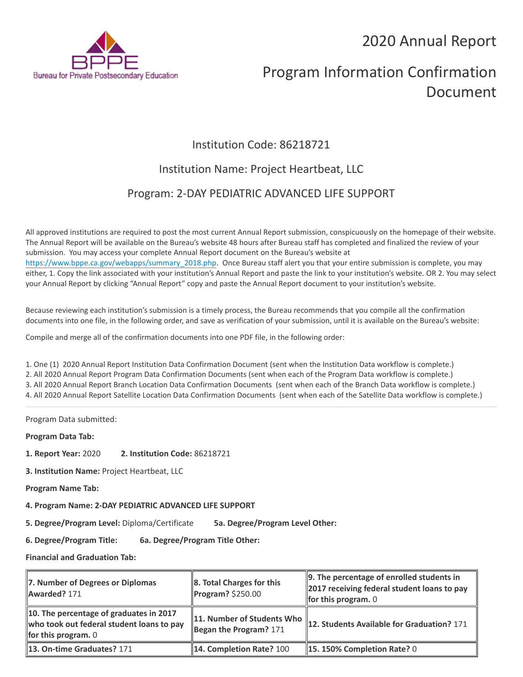2020 Annual Report



# Program Information Confirmation Document

## Institution Code: 86218721

### Institution Name: Project Heartbeat, LLC

### Program: 2-DAY PEDIATRIC ADVANCED LIFE SUPPORT

All approved institutions are required to post the most current Annual Report submission, conspicuously on the homepage of their website. The Annual Report will be available on the Bureau's website 48 hours after Bureau staff has completed and finalized the review of your submission. You may access your complete Annual Report document on the Bureau's website at [https://www.bppe.ca.gov/webapps/summary\\_2018.php.](https://www.bppe.ca.gov/webapps/summary_2018.php) Once Bureau staff alert you that your entire submission is complete, you may either, 1. Copy the link associated with your institution's Annual Report and paste the link to your institution's website. OR 2. You may select your Annual Report by clicking "Annual Report" copy and paste the Annual Report document to your institution's website.

Because reviewing each institution's submission is a timely process, the Bureau recommends that you compile all the confirmation documents into one file, in the following order, and save as verification of your submission, until it is available on the Bureau's website:

Compile and merge all of the confirmation documents into one PDF file, in the following order:

1. One (1) 2020 Annual Report Institution Data Confirmation Document (sent when the Institution Data workflow is complete.) 2. All 2020 Annual Report Program Data Confirmation Documents (sent when each of the Program Data workflow is complete.) 3. All 2020 Annual Report Branch Location Data Confirmation Documents (sent when each of the Branch Data workflow is complete.) 4. All 2020 Annual Report Satellite Location Data Confirmation Documents (sent when each of the Satellite Data workflow is complete.)

Program Data submitted:

**Program Data Tab:**

- **1. Report Year:** 2020 **2. Institution Code:** 86218721
- **3. Institution Name:** Project Heartbeat, LLC
- **Program Name Tab:**
- **4. Program Name: 2-DAY PEDIATRIC ADVANCED LIFE SUPPORT**

**5. Degree/Program Level:** Diploma/Certificate **5a. Degree/Program Level Other:**

**6. Degree/Program Title: 6a. Degree/Program Title Other:**

**Financial and Graduation Tab:**

| 7. Number of Degrees or Diplomas<br>Awarded? 171                                                              | 8. Total Charges for this<br>$\blacksquare$ Program? \$250.00 | $\parallel$ 9. The percentage of enrolled students in<br>2017 receiving federal student loans to pay<br><b>for this program.</b> $0$ |
|---------------------------------------------------------------------------------------------------------------|---------------------------------------------------------------|--------------------------------------------------------------------------------------------------------------------------------------|
| 10. The percentage of graduates in 2017<br>who took out federal student loans to pay<br>for this program. $0$ | 11. Number of Students Who<br>Began the Program? $171$        | 12. Students Available for Graduation? 171                                                                                           |
| <b>13. On-time Graduates? 171</b>                                                                             | 14. Completion Rate? 100                                      | 15. 150% Completion Rate? 0                                                                                                          |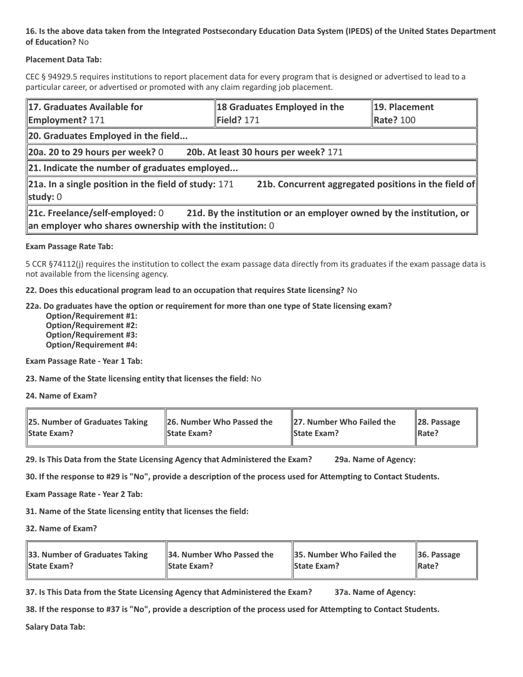#### **16. Is the above data taken from the Integrated Postsecondary Education Data System (IPEDS) of the United States Department of Education?** No

#### **Placement Data Tab:**

CEC § 94929.5 requires institutions to report placement data for every program that is designed or advertised to lead to a particular career, or advertised or promoted with any claim regarding job placement.

| 17. Graduates Available for<br><b>Employment? 171</b>                                                                                                                | 18 Graduates Employed in the<br>Field? 171           | 19. Placement<br><b>Rate? 100</b> |  |  |
|----------------------------------------------------------------------------------------------------------------------------------------------------------------------|------------------------------------------------------|-----------------------------------|--|--|
| 20. Graduates Employed in the field                                                                                                                                  |                                                      |                                   |  |  |
| $\vert$ 20a. 20 to 29 hours per week? 0                                                                                                                              | 20b. At least 30 hours per week? 171                 |                                   |  |  |
| $\ $ 21. Indicate the number of graduates employed                                                                                                                   |                                                      |                                   |  |  |
| 21a. In a single position in the field of study: 171<br>study: 0                                                                                                     | 21b. Concurrent aggregated positions in the field of |                                   |  |  |
| 21c. Freelance/self-employed: 0<br>21d. By the institution or an employer owned by the institution, or<br>an employer who shares ownership with the institution: $0$ |                                                      |                                   |  |  |

#### **Exam Passage Rate Tab:**

5 CCR §74112(j) requires the institution to collect the exam passage data directly from its graduates if the exam passage data is not available from the licensing agency.

**22. Does this educational program lead to an occupation that requires State licensing?** No

#### **22a. Do graduates have the option or requirement for more than one type of State licensing exam?**

 **Option/Requirement #1: Option/Requirement #2: Option/Requirement #3: Option/Requirement #4:**

**Exam Passage Rate - Year 1 Tab:**

**23. Name of the State licensing entity that licenses the field:** No

**24. Name of Exam?**

| 25. Number of Graduates Taking | 26. Number Who Passed the | 27. Number Who Failed the | $\ $ 28. Passage |
|--------------------------------|---------------------------|---------------------------|------------------|
| <b>State Exam?</b>             | <b>State Exam?</b>        | <b>State Exam?</b>        | Rate?            |

**29. Is This Data from the State Licensing Agency that Administered the Exam? 29a. Name of Agency:**

**30. If the response to #29 is "No", provide a description of the process used for Attempting to Contact Students.**

**Exam Passage Rate - Year 2 Tab:**

**31. Name of the State licensing entity that licenses the field:**

**32. Name of Exam?**

| 33. Number of Graduates Taking | 34. Number Who Passed the | <b>35. Number Who Failed the</b> | $\parallel$ 36. Passage |
|--------------------------------|---------------------------|----------------------------------|-------------------------|
| <b>State Exam?</b>             | <b>State Exam?</b>        | <b>State Exam?</b>               | $\parallel$ Rate?       |

**37. Is This Data from the State Licensing Agency that Administered the Exam? 37a. Name of Agency:**

**38. If the response to #37 is "No", provide a description of the process used for Attempting to Contact Students.** 

**Salary Data Tab:**